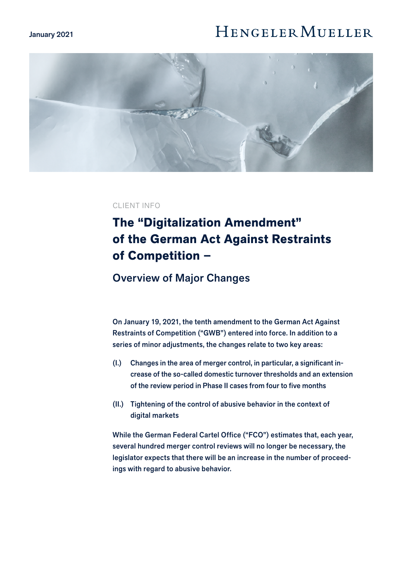#### January 2021

# **HENGELER MUELLER**



### CLIENT INFO

# **The "Digitalization Amendment" of the German Act Against Restraints of Competition –**

## Overview of Major Changes

On January 19, 2021, the tenth amendment to the German Act Against Restraints of Competition ("GWB") entered into force. In addition to a series of minor adjustments, the changes relate to two key areas:

- (I.) Changes in the area of merger control, in particular, a significant increase of the so-called domestic turnover thresholds and an extension of the review period in Phase II cases from four to five months
- (II.) Tightening of the control of abusive behavior in the context of digital markets

While the German Federal Cartel Office ("FCO") estimates that, each year, several hundred merger control reviews will no longer be necessary, the legislator expects that there will be an increase in the number of proceedings with regard to abusive behavior.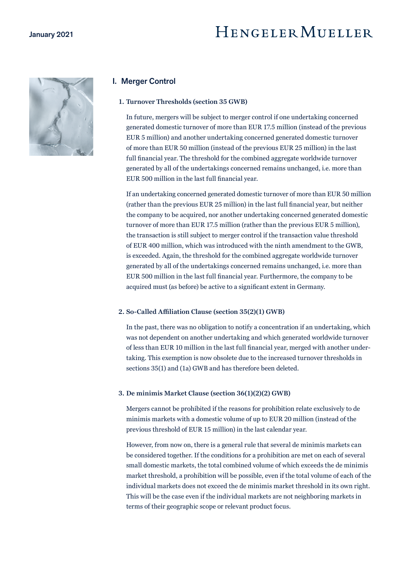# HENGELER MUELLER



### I. Merger Control

#### **1. Turnover Thresholds (section 35 GWB)**

In future, mergers will be subject to merger control if one undertaking concerned generated domestic turnover of more than EUR 17.5 million (instead of the previous EUR 5 million) and another undertaking concerned generated domestic turnover of more than EUR 50 million (instead of the previous EUR 25 million) in the last full financial year. The threshold for the combined aggregate worldwide turnover generated by all of the undertakings concerned remains unchanged, i.e. more than EUR 500 million in the last full financial year.

If an undertaking concerned generated domestic turnover of more than EUR 50 million (rather than the previous EUR 25 million) in the last full financial year, but neither the company to be acquired, nor another undertaking concerned generated domestic turnover of more than EUR 17.5 million (rather than the previous EUR 5 million), the transaction is still subject to merger control if the transaction value threshold of EUR 400 million, which was introduced with the ninth amendment to the GWB, is exceeded. Again, the threshold for the combined aggregate worldwide turnover generated by all of the undertakings concerned remains unchanged, i.e. more than EUR 500 million in the last full financial year. Furthermore, the company to be acquired must (as before) be active to a significant extent in Germany.

#### **2. So-Called Affiliation Clause (section 35(2)(1) GWB)**

In the past, there was no obligation to notify a concentration if an undertaking, which was not dependent on another undertaking and which generated worldwide turnover of less than EUR 10 million in the last full financial year, merged with another undertaking. This exemption is now obsolete due to the increased turnover thresholds in sections 35(1) and (1a) GWB and has therefore been deleted.

#### **3. De minimis Market Clause (section 36(1)(2)(2) GWB)**

Mergers cannot be prohibited if the reasons for prohibition relate exclusively to de minimis markets with a domestic volume of up to EUR 20 million (instead of the previous threshold of EUR 15 million) in the last calendar year.

However, from now on, there is a general rule that several de minimis markets can be considered together. If the conditions for a prohibition are met on each of several small domestic markets, the total combined volume of which exceeds the de minimis market threshold, a prohibition will be possible, even if the total volume of each of the individual markets does not exceed the de minimis market threshold in its own right. This will be the case even if the individual markets are not neighboring markets in terms of their geographic scope or relevant product focus.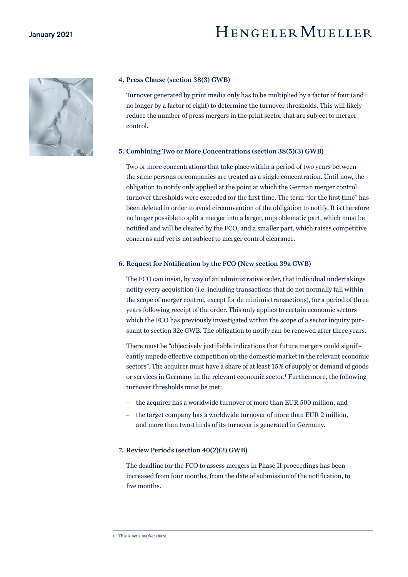

#### **4. Press Clause (section 38(3) GWB)**

Turnover generated by print media only has to be multiplied by a factor of four (and no longer by a factor of eight) to determine the turnover thresholds. This will likely reduce the number of press mergers in the print sector that are subject to merger control.

#### **5. Combining Two or More Concentrations (section 38(5)(3) GWB)**

Two or more concentrations that take place within a period of two years between the same persons or companies are treated as a single concentration. Until now, the obligation to notify only applied at the point at which the German merger control turnover thresholds were exceeded for the first time. The term "for the first time" has been deleted in order to avoid circumvention of the obligation to notify. It is therefore no longer possible to split a merger into a larger, unproblematic part, which must be notified and will be cleared by the FCO, and a smaller part, which raises competitive concerns and yet is not subject to merger control clearance.

#### **6. Request for Notification by the FCO (New section 39a GWB)**

The FCO can insist, by way of an administrative order, that individual undertakings notify every acquisition (i.e. including transactions that do not normally fall within the scope of merger control, except for de minimis transactions), for a period of three years following receipt of the order. This only applies to certain economic sectors which the FCO has previously investigated within the scope of a sector inquiry pursuant to section 32e GWB. The obligation to notify can be renewed after three years.

There must be "objectively justifiable indications that future mergers could significantly impede effective competition on the domestic market in the relevant economic sectors". The acquirer must have a share of at least 15% of supply or demand of goods or services in Germany in the relevant economic sector.<sup>1</sup> Furthermore, the following turnover thresholds must be met:

- the acquirer has a worldwide turnover of more than EUR 500 million; and
- the target company has a worldwide turnover of more than EUR 2 million, and more than two-thirds of its turnover is generated in Germany.

#### **7. Review Periods (section 40(2)(2) GWB)**

The deadline for the FCO to assess mergers in Phase II proceedings has been increased from four months, from the date of submission of the notification, to five months.

<sup>1</sup> This is not a market share.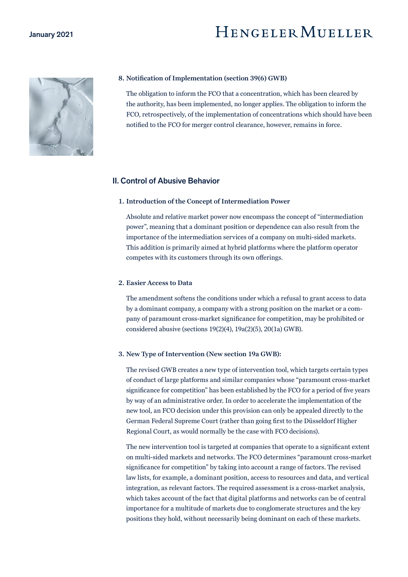

#### **8. Notification of Implementation (section 39(6) GWB)**

The obligation to inform the FCO that a concentration, which has been cleared by the authority, has been implemented, no longer applies. The obligation to inform the FCO, retrospectively, of the implementation of concentrations which should have been notified to the FCO for merger control clearance, however, remains in force.

### II. Control of Abusive Behavior

#### **1. Introduction of the Concept of Intermediation Power**

Absolute and relative market power now encompass the concept of "intermediation power", meaning that a dominant position or dependence can also result from the importance of the intermediation services of a company on multi-sided markets. This addition is primarily aimed at hybrid platforms where the platform operator competes with its customers through its own offerings.

#### **2. Easier Access to Data**

The amendment softens the conditions under which a refusal to grant access to data by a dominant company, a company with a strong position on the market or a company of paramount cross-market significance for competition, may be prohibited or considered abusive (sections 19(2)(4), 19a(2)(5), 20(1a) GWB).

#### **3. New Type of Intervention (New section 19a GWB):**

The revised GWB creates a new type of intervention tool, which targets certain types of conduct of large platforms and similar companies whose "paramount cross-market significance for competition" has been established by the FCO for a period of five years by way of an administrative order. In order to accelerate the implementation of the new tool, an FCO decision under this provision can only be appealed directly to the German Federal Supreme Court (rather than going first to the Düsseldorf Higher Regional Court, as would normally be the case with FCO decisions).

The new intervention tool is targeted at companies that operate to a significant extent on multi-sided markets and networks. The FCO determines "paramount cross-market significance for competition" by taking into account a range of factors. The revised law lists, for example, a dominant position, access to resources and data, and vertical integration, as relevant factors. The required assessment is a cross-market analysis, which takes account of the fact that digital platforms and networks can be of central importance for a multitude of markets due to conglomerate structures and the key positions they hold, without necessarily being dominant on each of these markets.